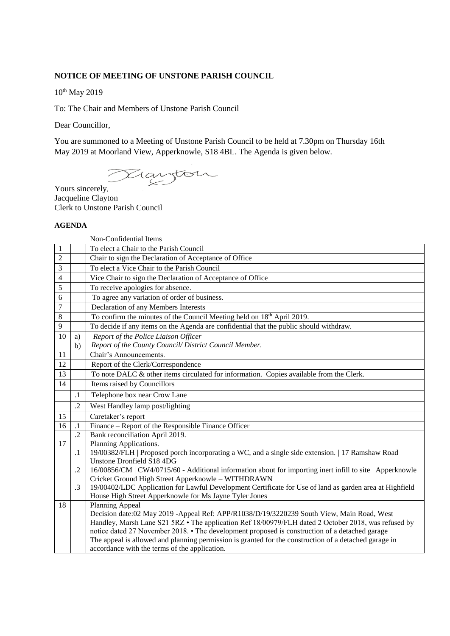## **NOTICE OF MEETING OF UNSTONE PARISH COUNCIL**

10<sup>th</sup> May 2019

To: The Chair and Members of Unstone Parish Council

Dear Councillor,

You are summoned to a Meeting of Unstone Parish Council to be held at 7.30pm on Thursday 16th May 2019 at Moorland View, Apperknowle, S18 4BL. The Agenda is given below.

Yours sincerely,

Jacqueline Clayton Clerk to Unstone Parish Council

## **AGENDA**

Non-Confidential Items

| 1              |            | To elect a Chair to the Parish Council                                                                                                                        |
|----------------|------------|---------------------------------------------------------------------------------------------------------------------------------------------------------------|
| $\overline{2}$ |            | Chair to sign the Declaration of Acceptance of Office                                                                                                         |
| 3              |            | To elect a Vice Chair to the Parish Council                                                                                                                   |
| 4              |            | Vice Chair to sign the Declaration of Acceptance of Office                                                                                                    |
| 5              |            | To receive apologies for absence.                                                                                                                             |
| 6              |            | To agree any variation of order of business.                                                                                                                  |
| $\overline{7}$ |            | Declaration of any Members Interests                                                                                                                          |
| 8              |            | To confirm the minutes of the Council Meeting held on 18 <sup>th</sup> April 2019.                                                                            |
| 9              |            | To decide if any items on the Agenda are confidential that the public should withdraw.                                                                        |
| 10             | a)         | Report of the Police Liaison Officer                                                                                                                          |
|                | b)         | Report of the County Council/ District Council Member.                                                                                                        |
| 11             |            | Chair's Announcements.                                                                                                                                        |
| 12             |            | Report of the Clerk/Correspondence                                                                                                                            |
| 13             |            | To note DALC & other items circulated for information. Copies available from the Clerk.                                                                       |
| 14             |            | Items raised by Councillors                                                                                                                                   |
|                | $\cdot$ 1  | Telephone box near Crow Lane                                                                                                                                  |
|                | $\cdot$ .2 | West Handley lamp post/lighting                                                                                                                               |
| 15             |            | Caretaker's report                                                                                                                                            |
| 16             | $\cdot$ 1  | Finance – Report of the Responsible Finance Officer                                                                                                           |
|                | $\cdot$    | Bank reconciliation April 2019.                                                                                                                               |
| 17             |            | Planning Applications.                                                                                                                                        |
|                | $\cdot$ 1  | 19/00382/FLH   Proposed porch incorporating a WC, and a single side extension.   17 Ramshaw Road                                                              |
|                |            | Unstone Dronfield S18 4DG                                                                                                                                     |
|                | .2         | 16/00856/CM   CW4/0715/60 - Additional information about for importing inert infill to site   Apperknowle                                                     |
|                | .3         | Cricket Ground High Street Apperknowle - WITHDRAWN<br>19/00402/LDC Application for Lawful Development Certificate for Use of land as garden area at Highfield |
|                |            | House High Street Apperknowle for Ms Jayne Tyler Jones                                                                                                        |
| 18             |            | Planning Appeal                                                                                                                                               |
|                |            | Decision date:02 May 2019 -Appeal Ref: APP/R1038/D/19/3220239 South View, Main Road, West                                                                     |
|                |            | Handley, Marsh Lane S21 5RZ • The application Ref 18/00979/FLH dated 2 October 2018, was refused by                                                           |
|                |            | notice dated 27 November 2018. • The development proposed is construction of a detached garage                                                                |
|                |            | The appeal is allowed and planning permission is granted for the construction of a detached garage in                                                         |
|                |            | accordance with the terms of the application.                                                                                                                 |